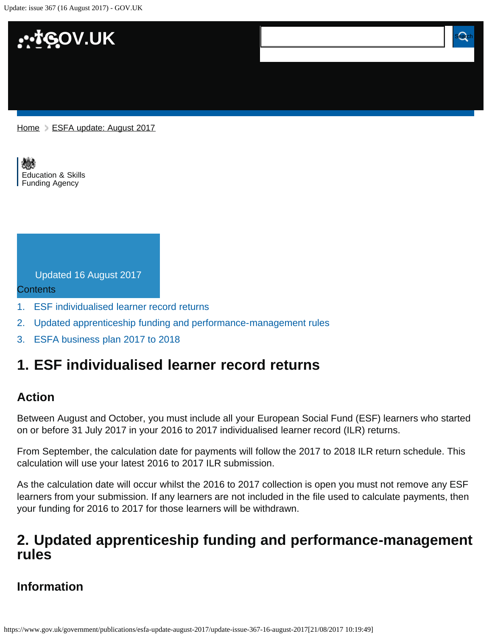Update: issue 367 (16 August 2017) - GOV.UK



[Education & Skills](https://www.gov.uk/government/organisations/education-and-skills-funding-agency)  [Funding Agency](https://www.gov.uk/government/organisations/education-and-skills-funding-agency)

| Updated 16 August 2017 |  |  |
|------------------------|--|--|
|                        |  |  |

Contents

- [1.](#page-0-0) [ESF individualised learner record returns](#page-0-0)
- [2.](#page-0-1) [Updated apprenticeship funding and performance-management rules](#page-0-1)

**Update: issue 367 (16 August 2017)**

[3.](#page-1-0) [ESFA business plan 2017 to 2018](#page-1-0)

## <span id="page-0-0"></span>**1. ESF individualised learner record returns**

### **Action**

Between August and October, you must include all your European Social Fund (ESF) learners who started on or before 31 July 2017 in your 2016 to 2017 individualised learner record (ILR) returns.

From September, the calculation date for payments will follow the 2017 to 2018 ILR return schedule. This calculation will use your latest 2016 to 2017 ILR submission.

As the calculation date will occur whilst the 2016 to 2017 collection is open you must not remove any ESF learners from your submission. If any learners are not included in the file used to calculate payments, then your funding for 2016 to 2017 for those learners will be withdrawn.

## <span id="page-0-1"></span>**2. Updated apprenticeship funding and performance-management rules**

### **Information**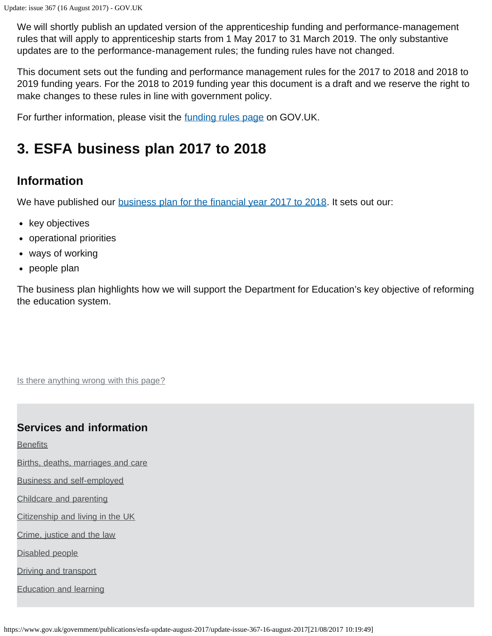We will shortly publish an updated version of the apprenticeship funding and performance-management rules that will apply to apprenticeship starts from 1 May 2017 to 31 March 2019. The only substantive updates are to the performance-management rules; the funding rules have not changed.

This document sets out the funding and performance management rules for the 2017 to 2018 and 2018 to 2019 funding years. For the 2018 to 2019 funding year this document is a draft and we reserve the right to make changes to these rules in line with government policy.

For further information, please visit the *funding rules page* on GOV.UK.

# <span id="page-1-0"></span>**3. ESFA business plan 2017 to 2018**

### **Information**

We have published our **business plan for the financial year 2017 to 2018**. It sets out our:

- key objectives
- operational priorities
- ways of working
- people plan

The business plan highlights how we will support the Department for Education's key objective of reforming the education system.

Is there anything wrong with this page?

#### **Services and information**

**[Benefits](https://www.gov.uk/browse/benefits)** 

[Births, deaths, marriages and care](https://www.gov.uk/browse/births-deaths-marriages)

[Business and self-employed](https://www.gov.uk/browse/business)

[Childcare and parenting](https://www.gov.uk/browse/childcare-parenting)

[Citizenship and living in the UK](https://www.gov.uk/browse/citizenship)

[Crime, justice and the law](https://www.gov.uk/browse/justice)

[Disabled people](https://www.gov.uk/browse/disabilities)

[Driving and transport](https://www.gov.uk/browse/driving)

[Education and learning](https://www.gov.uk/browse/education)

https://www.gov.uk/government/publications/esfa-update-august-2017/update-issue-367-16-august-2017[21/08/2017 10:19:49]